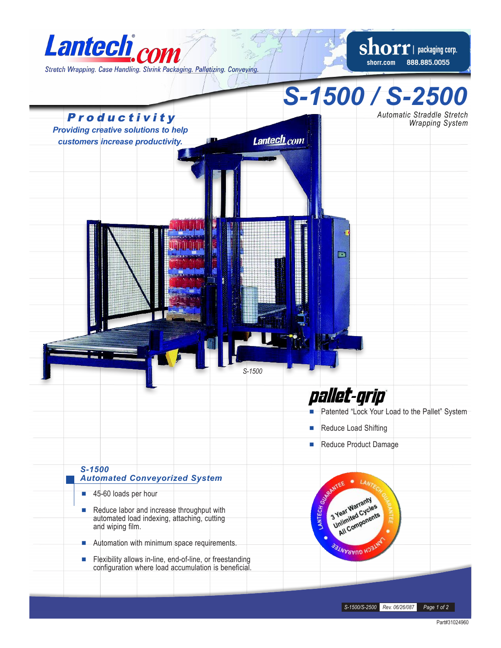

 $\bold{short}$  | packaging corp. 888.885.0055 shorr.com

## *S-1500 / S-2500*

Productivity *Automatic Straddle Stretch Wrapping System Providing creative solutions to help* Lantech<sub>.com</sub> *customers increase productivity.*  $\Box$ *S-1500* pallet-gript Patented "Lock Your Load to the Pallet" System Reduce Load Shifting Reduce Product Damage*S-1500 Automated Conveyorized System* ■ 45-60 loads per hour 3 Year Warranty **3 Year Warranty**<br>3 Year Warranty<br>Unlimited Cycles Reduce labor and increase throughput with Year Wad Cycles<br>Unlimited Cyclents<br>All Components automated load indexing, attaching, cutting and wiping film. **Automation with minimum space requirements.** CH GUARANTE

 $\blacksquare$  Flexibility allows in-line, end-of-line, or freestanding configuration where load accumulation is beneficial.